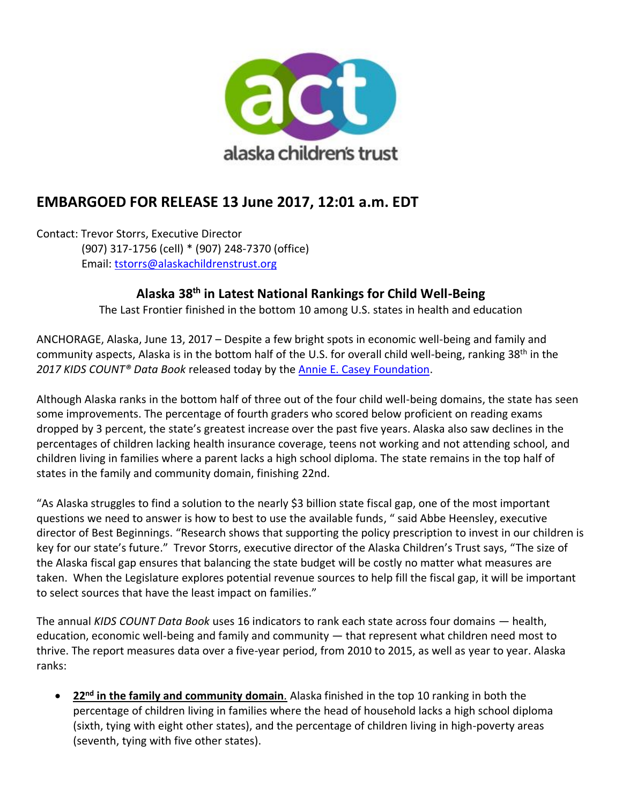

# **EMBARGOED FOR RELEASE 13 June 2017, 12:01 a.m. EDT**

Contact: Trevor Storrs, Executive Director (907) 317-1756 (cell) \* (907) 248-7370 (office) Email: [tstorrs@alaskachildrenstrust.org](mailto:tstorrs@alaskachildrenstrust.org)

# **Alaska 38th in Latest National Rankings for Child Well-Being**

The Last Frontier finished in the bottom 10 among U.S. states in health and education

ANCHORAGE, Alaska, June 13, 2017 – Despite a few bright spots in economic well-being and family and community aspects, Alaska is in the bottom half of the U.S. for overall child well-being, ranking 38th in the *2017 KIDS COUNT® Data Book* released today by the [Annie E. Casey Foundation](http://www.aecf.org/).

Although Alaska ranks in the bottom half of three out of the four child well-being domains, the state has seen some improvements. The percentage of fourth graders who scored below proficient on reading exams dropped by 3 percent, the state's greatest increase over the past five years. Alaska also saw declines in the percentages of children lacking health insurance coverage, teens not working and not attending school, and children living in families where a parent lacks a high school diploma. The state remains in the top half of states in the family and community domain, finishing 22nd.

"As Alaska struggles to find a solution to the nearly \$3 billion state fiscal gap, one of the most important questions we need to answer is how to best to use the available funds, " said Abbe Heensley, executive director of Best Beginnings. "Research shows that supporting the policy prescription to invest in our children is key for our state's future." Trevor Storrs, executive director of the Alaska Children's Trust says, "The size of the Alaska fiscal gap ensures that balancing the state budget will be costly no matter what measures are taken. When the Legislature explores potential revenue sources to help fill the fiscal gap, it will be important to select sources that have the least impact on families."

The annual *KIDS COUNT Data Book* uses 16 indicators to rank each state across four domains — health, education, economic well-being and family and community — that represent what children need most to thrive. The report measures data over a five-year period, from 2010 to 2015, as well as year to year. Alaska ranks:

• **22nd in the family and community domain***.* Alaska finished in the top 10 ranking in both the percentage of children living in families where the head of household lacks a high school diploma (sixth, tying with eight other states), and the percentage of children living in high-poverty areas (seventh, tying with five other states).